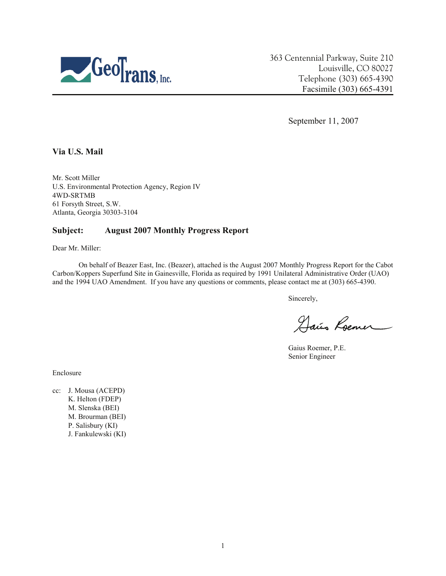

363 Centennial Parkway, Suite 210 Louisville, CO 80027 Telephone (303) 665-4390 Facsimile (303) 665-4391

September 11, 2007

**Via U.S. Mail** 

Mr. Scott Miller U.S. Environmental Protection Agency, Region IV 4WD-SRTMB 61 Forsyth Street, S.W. Atlanta, Georgia 30303-3104

# **Subject: August 2007 Monthly Progress Report**

Dear Mr. Miller:

On behalf of Beazer East, Inc. (Beazer), attached is the August 2007 Monthly Progress Report for the Cabot Carbon/Koppers Superfund Site in Gainesville, Florida as required by 1991 Unilateral Administrative Order (UAO) and the 1994 UAO Amendment. If you have any questions or comments, please contact me at (303) 665-4390.

Sincerely,

Hair Roemer

Gaius Roemer, P.E. Senior Engineer

Enclosure

cc: J. Mousa (ACEPD) K. Helton (FDEP) M. Slenska (BEI) M. Brourman (BEI) P. Salisbury (KI) J. Fankulewski (KI)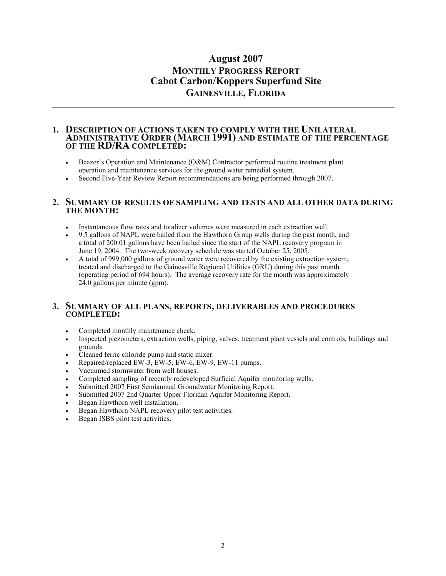# **August 2007 MONTHLY PROGRESS REPORT Cabot Carbon/Koppers Superfund Site GAINESVILLE, FLORIDA**

#### **1. DESCRIPTION OF ACTIONS TAKEN TO COMPLY WITH THE UNILATERAL ADMINISTRATIVE ORDER (MARCH 1991) AND ESTIMATE OF THE PERCENTAGE OF THE RD/RA COMPLETED:**

- Beazer's Operation and Maintenance (O&M) Contractor performed routine treatment plant operation and maintenance services for the ground water remedial system.
- Second Five-Year Review Report recommendations are being performed through 2007.

#### **2. SUMMARY OF RESULTS OF SAMPLING AND TESTS AND ALL OTHER DATA DURING THE MONTH:**

- Instantaneous flow rates and totalizer volumes were measured in each extraction well.
- 9.5 gallons of NAPL were bailed from the Hawthorn Group wells during the past month, and a total of 200.01 gallons have been bailed since the start of the NAPL recovery program in June 19, 2004. The two-week recovery schedule was started October 25, 2005.
- A total of 999,000 gallons of ground water were recovered by the existing extraction system, treated and discharged to the Gainesville Regional Utilities (GRU) during this past month (operating period of 694 hours). The average recovery rate for the month was approximately 24.0 gallons per minute (gpm).

## **3. SUMMARY OF ALL PLANS, REPORTS, DELIVERABLES AND PROCEDURES COMPLETED:**

- Completed monthly maintenance check.
- Inspected piezometers, extraction wells, piping, valves, treatment plant vessels and controls, buildings and grounds.
- Cleaned ferric chloride pump and static mixer.
- Repaired/replaced EW-3, EW-5, EW-6, EW-9, EW-11 pumps.
- Vacuumed stormwater from well houses.
- Completed sampling of recently redeveloped Surficial Aquifer monitoring wells.
- Submitted 2007 First Semiannual Groundwater Monitoring Report.
- Submitted 2007 2nd Quarter Upper Floridan Aquifer Monitoring Report.
- Began Hawthorn well installation.
- Began Hawthorn NAPL recovery pilot test activities.
- Began ISBS pilot test activities.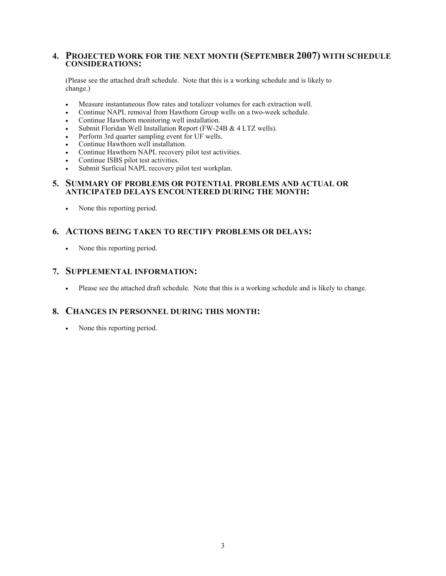## **4. PROJECTED WORK FOR THE NEXT MONTH (SEPTEMBER 2007) WITH SCHEDULE CONSIDERATIONS:**

(Please see the attached draft schedule. Note that this is a working schedule and is likely to change.)

- Measure instantaneous flow rates and totalizer volumes for each extraction well.
- Continue NAPL removal from Hawthorn Group wells on a two-week schedule.
- Continue Hawthorn monitoring well installation.
- Submit Floridan Well Installation Report (FW-24B & 4 LTZ wells).
- Perform 3rd quarter sampling event for UF wells.
- Continue Hawthorn well installation.
- Continue Hawthorn NAPL recovery pilot test activities.
- Continue ISBS pilot test activities.
- Submit Surficial NAPL recovery pilot test workplan.

#### **5. SUMMARY OF PROBLEMS OR POTENTIAL PROBLEMS AND ACTUAL OR ANTICIPATED DELAYS ENCOUNTERED DURING THE MONTH:**

• None this reporting period.

# **6. ACTIONS BEING TAKEN TO RECTIFY PROBLEMS OR DELAYS:**

• None this reporting period.

## **7. SUPPLEMENTAL INFORMATION:**

• Please see the attached draft schedule. Note that this is a working schedule and is likely to change.

# **8. CHANGES IN PERSONNEL DURING THIS MONTH:**

• None this reporting period.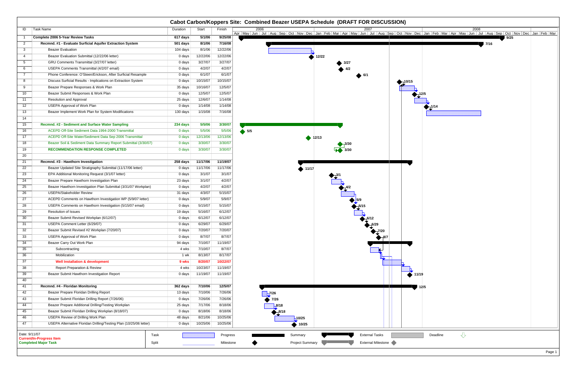|                 |                                                                                 |          |          |                       | Cabot Carbon/Koppers Site: Combined Beazer USEPA Schedule (DRAFT FOR DISCUSSION)                                                                                                                                                        |  |
|-----------------|---------------------------------------------------------------------------------|----------|----------|-----------------------|-----------------------------------------------------------------------------------------------------------------------------------------------------------------------------------------------------------------------------------------|--|
| ID              | Task Name                                                                       | Duration | Start    | Finish                | 2006<br>2008<br>2007<br>Apr   May   Jun   Jul   Aug   Sep   Oct   Nov   Dec   Jan   Feb   Mar   Apr   May   Jun   Jup   Sep   Oct   Nov   Dec   Jan   Feb   Mar   Apr   May   Jun   Jul   Aug   Sep   Oct   Nov   Dec   Jan   Feb   Mar |  |
|                 | Complete 2006 5-Year Review Tasks                                               | 617 days | 5/1/06   | 9/25/08               | 9/25<br>그는 아이를 보이는 것이 아니?<br>and the con-                                                                                                                                                                                               |  |
| $\overline{2}$  | Recmnd. #1 - Evaluate Surficial Aquifer Extraction System                       | 501 days | 8/1/06   | 7/16/08               | 7/16                                                                                                                                                                                                                                    |  |
| 3 <sup>1</sup>  | <b>Beazer Evaluation</b>                                                        | 104 days | 8/1/06   | 12/22/06              |                                                                                                                                                                                                                                         |  |
| 4               | Beazer Evaluation Submittal (12/22/06 letter)                                   | 0 days   | 12/22/06 | 12/22/06              | 12/22                                                                                                                                                                                                                                   |  |
| 5 <sub>5</sub>  | GRU Comments Transmittal (3/27/07 letter)                                       | 0 days   | 3/27/07  | 3/27/07               | 3/27                                                                                                                                                                                                                                    |  |
| 6               | USEPA Comments Transmittal (4/2/07 email)                                       | 0 days   | 4/2/07   | 4/2/07                |                                                                                                                                                                                                                                         |  |
| $7\overline{ }$ | Phone Conference: O'Steen/Erickson, After Surficial Resample                    | 0 days   | 6/1/07   | 6/1/07                |                                                                                                                                                                                                                                         |  |
| 8               | Discuss Surficial Results - Implications on Extraction System                   | 0 days   | 10/15/07 | 10/15/07              | 10/15                                                                                                                                                                                                                                   |  |
| 9               | Beazer Prepare Responses & Work Plan                                            | 35 days  | 10/16/07 | 12/5/07               |                                                                                                                                                                                                                                         |  |
| 10              | Beazer Submit Responses & Work Plan                                             | 0 days   | 12/5/07  | 12/5/07               |                                                                                                                                                                                                                                         |  |
| 11              | Resolution and Approval                                                         | 25 days  | 12/6/07  | 1/14/08               |                                                                                                                                                                                                                                         |  |
| 12              | USEPA Approval of Work Plan                                                     | 0 days   | 1/14/08  | 1/14/08               |                                                                                                                                                                                                                                         |  |
| 13              | Beazer Implement Work Plan for System Modifications                             | 130 days | 1/15/08  | 7/16/08               |                                                                                                                                                                                                                                         |  |
| 14              |                                                                                 |          |          |                       |                                                                                                                                                                                                                                         |  |
| 15              | Recmnd. #2 - Sediment and Surface Water Sampling                                | 234 days | 5/5/06   | 3/30/07               |                                                                                                                                                                                                                                         |  |
| 16              | ACEPD Off-Site Sediment Data 1994-2000 Transmittal                              | 0 days   | 5/5/06   | 5/5/06                | $\bullet$ 5/5                                                                                                                                                                                                                           |  |
| 17              | ACEPD Off-Site Water/Sediment Data Sep 2006 Transmittal                         | 0 days   | 12/13/06 | 12/13/06              | $\blacktriangleright$ 12/13                                                                                                                                                                                                             |  |
| 18              | Beazer Soil & Sediment Data Summary Report Submittal (3/30/07)                  | 0 days   | 3/30/07  | 3/30/07               |                                                                                                                                                                                                                                         |  |
| 19              | <b>RECOMMENDATION RESPONSE COMPLETED</b>                                        | 0 days   | 3/30/07  | 3/30/07               |                                                                                                                                                                                                                                         |  |
| 20              |                                                                                 |          |          |                       |                                                                                                                                                                                                                                         |  |
| 21              | Recmnd. #3 - Hawthorn Investigation                                             | 258 days | 11/17/06 | 11/19/07              |                                                                                                                                                                                                                                         |  |
| 22              | Beazer Updated Site Stratigraphy Submittal (11/17/06 letter)                    | 0 days   | 11/17/06 | 11/17/06              | $\blacktriangleright$ 11/17                                                                                                                                                                                                             |  |
| 23              | EPA Additional Monitoring Request (3/1/07 letter)                               | 0 days   | 3/1/07   | 3/1/07                |                                                                                                                                                                                                                                         |  |
| 24              | Beazer Prepare Hawthorn Investigation Plan                                      | 23 days  | 3/1/07   | 4/2/07                |                                                                                                                                                                                                                                         |  |
| 25              | Beazer Hawthorn Investigation Plan Submittal (3/31/07 Workplan)                 | 0 days   | 4/2/07   | 4/2/07                |                                                                                                                                                                                                                                         |  |
| 26              | <b>USEPA/Stakeholder Review</b>                                                 | 31 days  | 4/3/07   | 5/15/07               |                                                                                                                                                                                                                                         |  |
| 27              | ACEPD Comments on Hawthorn Investigation WP (5/9/07 letter)                     | 0 days   | 5/9/07   | 5/9/07                |                                                                                                                                                                                                                                         |  |
| 28              | USEPA Comments on Hawthorn Investigation (5/15/07 email)                        | 0 days   | 5/15/07  | 5/15/07               |                                                                                                                                                                                                                                         |  |
| 29              | <b>Resolution of Issues</b>                                                     | 19 days  | 5/16/07  | 6/12/07               |                                                                                                                                                                                                                                         |  |
| 30              | Beazer Submit Revised Workplan (6/12/07)                                        | 0 days   | 6/12/07  | 6/12/07               |                                                                                                                                                                                                                                         |  |
| 31              | USEPA Comment Letter (6/29/07)                                                  | 0 days   | 6/29/07  | 6/29/07               |                                                                                                                                                                                                                                         |  |
| 32              | Beazer Submit Revised #2 Workplan (7/20/07)                                     | 0 days   | 7/20/07  | 7/20/07               |                                                                                                                                                                                                                                         |  |
| 33              | <b>USEPA Approval of Work Plan</b>                                              | 0 days   | 8/7/07   | 8/7/07                | $7^{7/20}$                                                                                                                                                                                                                              |  |
| 34              | Beazer Carry Out Work Plan                                                      | 94 days  | 7/10/07  | 11/19/07              |                                                                                                                                                                                                                                         |  |
| 35              | Subcontracting                                                                  | 4 wks    | 7/10/07  | 8/7/07                |                                                                                                                                                                                                                                         |  |
| 36              | Mobilization                                                                    | 1 wk     | 8/13/07  | 8/17/07               |                                                                                                                                                                                                                                         |  |
| 37              | <b>Well Installation &amp; development</b>                                      | 9 wks    | 8/20/07  | 10/22/07              |                                                                                                                                                                                                                                         |  |
| 38              | <b>Report Preparation &amp; Review</b>                                          | 4 wks    | 10/23/07 | 11/19/07              |                                                                                                                                                                                                                                         |  |
| 39              | Beazer Submit Hawthorn Investigation Report                                     | 0 days   | 11/19/07 | 11/19/07              | 11/19                                                                                                                                                                                                                                   |  |
| 40              |                                                                                 |          |          |                       |                                                                                                                                                                                                                                         |  |
| 41              | Recmnd. #4 - Floridan Monitoring                                                | 362 days | 7/10/06  | 12/5/07               | 12/5                                                                                                                                                                                                                                    |  |
| 42              | Beazer Prepare Floridan Drilling Report                                         | 13 days  | 7/10/06  | 7/26/06               | 7/26                                                                                                                                                                                                                                    |  |
| 43              | Beazer Submit Floridan Drilling Report (7/26/06)                                | 0 days   | 7/26/06  | 7/26/06               | 7/26                                                                                                                                                                                                                                    |  |
| 44              | Beazer Prepare Additional Drilling/Testing Workplan                             | 25 days  | 7/17/06  | 8/18/06               | $-8/18$                                                                                                                                                                                                                                 |  |
| 45              | Beazer Submit Floridan Drilling Workplan (8/18/07)                              | 0 days   | 8/18/06  | 8/18/06               |                                                                                                                                                                                                                                         |  |
| 46              | <b>USEPA Review of Drilling Work Plan</b>                                       | 48 days  | 8/21/06  | 10/25/06              | $-10/25$                                                                                                                                                                                                                                |  |
| 47              | USEPA Alternative Floridan Drilling/Testing Plan (10/25/06 letter)              | 0 days   | 10/25/06 | 10/25/06              | $\big) 10/25$                                                                                                                                                                                                                           |  |
| Date: 9/11/07   | Task<br><b>Current/In-Progress Item</b><br><b>Completed Major Task</b><br>Split |          |          | Progress<br>Milestone | $\bigcup$<br><b>External Tasks</b><br>Deadline<br>Summary<br>External Milestone<br><b>Project Summary</b>                                                                                                                               |  |

| 2008<br><u>In Jul Aug Sep Oct Nov Dec</u><br>9/25<br>Jan   Feb   Mar   Apr   May   Jun | Jan   Feb   Mar |
|----------------------------------------------------------------------------------------|-----------------|
|                                                                                        |                 |
| $7/16$                                                                                 |                 |
|                                                                                        |                 |
|                                                                                        |                 |
|                                                                                        |                 |
|                                                                                        |                 |
|                                                                                        |                 |
|                                                                                        |                 |
|                                                                                        |                 |
|                                                                                        |                 |
| /5                                                                                     |                 |
|                                                                                        |                 |
| $J^{1/14}$                                                                             |                 |
|                                                                                        |                 |
|                                                                                        |                 |
|                                                                                        |                 |
|                                                                                        |                 |
|                                                                                        |                 |
|                                                                                        |                 |
|                                                                                        |                 |
|                                                                                        |                 |
|                                                                                        |                 |
|                                                                                        |                 |
|                                                                                        |                 |
|                                                                                        |                 |
|                                                                                        |                 |
|                                                                                        |                 |
|                                                                                        |                 |
|                                                                                        |                 |
|                                                                                        |                 |
|                                                                                        |                 |
|                                                                                        |                 |
|                                                                                        |                 |
|                                                                                        |                 |
|                                                                                        |                 |
|                                                                                        |                 |
|                                                                                        |                 |
|                                                                                        |                 |
|                                                                                        |                 |
|                                                                                        |                 |
|                                                                                        |                 |
|                                                                                        |                 |
|                                                                                        |                 |
|                                                                                        |                 |
| /5                                                                                     |                 |
|                                                                                        |                 |
|                                                                                        |                 |
|                                                                                        |                 |
|                                                                                        |                 |
|                                                                                        |                 |
|                                                                                        |                 |
|                                                                                        |                 |
| $\overline{\bigtriangledown}$<br>Deadline                                              |                 |
|                                                                                        |                 |
|                                                                                        |                 |
|                                                                                        | Page 1          |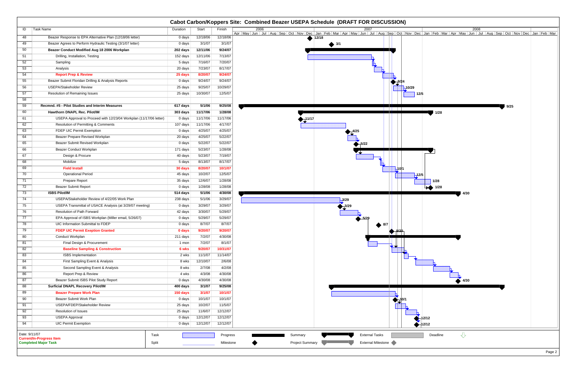| Task Name<br>ID<br>Duration<br>Start<br>Finish<br>2008<br>2006<br>2007<br>Apr   May   Jun   Jul   Aug   Sep   Oct   Nov   Dec   Jan   Feb   Mar   Apr   May   Jun   Jul   Aug   Sep   Oct   Nov   Dec   Jan   Feb   Mar   Apr   May   Jun   Jul   Aug   Sep   Oct   Nov   Dec   Jan   Feb   Mar<br>Beazer Response to EPA Alternative Plan (12/18/06 letter)<br>12/18/06<br>12/18/06<br>48<br>0 days<br>12/18<br>3/1/07<br>Beazer Agrees to Perform Hydraulic Testing (3/1/07 letter)<br>3/1/07<br>49<br>0 days<br>$\bullet$ 3/1<br>9/24/07<br>50<br>Beazer Conduct Modified Aug 18 2006 Workplan<br>12/11/06<br>202 days<br>7/13/07<br>Drilling, Installation, Testing<br>152 days<br>12/11/06<br>51<br>7/16/07<br>7/20/07<br>52<br>Sampling<br>5 days<br>8/17/07<br>53<br>7/23/07<br>Analysis<br>20 days<br>54<br>8/20/07<br>9/24/07<br><b>Report Prep &amp; Review</b><br>25 days<br>55<br>Beazer Submit Floridan Drilling & Analysis Reports<br>9/24/07<br>0 days<br>9/24/07<br><b>USEPA/Stakeholder Review</b><br>9/25/07<br>10/29/07<br>56<br>25 days<br>10/29<br>Resolution of Remaining Issues<br>10/30/07<br>12/5/07<br>57<br>25 days<br>12/5<br>58<br>59<br>5/1/06<br>9/25/08<br>Recmnd. #5 - Pilot Studies and Interim Measures<br>617 days<br>9/25<br>60<br>Hawthorn DNAPL Rec. Pilot/IM<br>11/17/06<br>1/28/08<br>303 days<br>1/28<br>USEPA Approval to Proceed with 12/23/04 Workplan (11/17/06 letter)<br>11/17/06<br>11/17/06<br>61<br>0 days<br>11/17<br>62<br>Resolution of Permitting & Comments<br>4/17/07<br>107 days<br>11/17/06<br>4/25/07<br>63<br>FDEP UIC Permit Exemption<br>0 days<br>4/25/07<br>4/25/07<br>5/22/07<br>64<br>Beazer Prepare Revised Workplan<br>20 days<br>65<br>Beazer Submit Revised Workplan<br>5/22/07<br>5/22/07<br>0 days<br>$\neg 5/22$<br><b>Beazer Conduct Workplan</b><br>5/23/07<br>1/28/08<br>66<br>171 days<br>7/19/07<br>67<br>Design & Procure<br>40 days<br>5/23/07<br>68<br>8/17/07<br>Mobilize<br>8/13/07<br>5 days<br>69<br><b>Field Install</b><br>10/1/07<br>8/20/07<br>30 days<br>70<br>10/2/07<br>12/5/07<br><b>Operational Period</b><br>45 days<br>$-12/5$<br>71<br>Prepare Report<br>35 days<br>12/6/07<br>1/28/08<br>1/28<br><b>Beazer Submit Report</b><br>1/28/08<br>$\rightarrow$ 1/28<br>72<br>0 days<br>1/28/08<br>73<br><b>ISBS Pilot/IM</b><br>5/1/06<br>4/30/08<br>514 days<br>4/30<br>74<br>USEPA/Stakeholder Review of 4/22/05 Work Plan<br>5/1/06<br>3/29/07<br>238 days<br>$-3/29$<br>3/29/07<br>75<br>USEPA Transmittal of USACE Analysis (at 3/29/07 meeting)<br>3/29/07<br>0 days<br><b>Resolution of Path Forward</b><br>3/30/07<br>5/29/07<br>76<br>42 days<br>77<br>EPA Approval of ISBS Workplan (Miller email, 5/26/07)<br>5/29/07<br>5/29/07<br>0 days<br>78<br>8/7/07<br>UIC Information Submittal to FDEP<br>8/7/07<br>0 days<br><b>▲ 8/7</b><br>79<br><b>FDEP UIC Permit Exeption Granted</b><br>0 days<br>9/20/07<br>9/20/07<br>$\bigoplus$ $\frac{9}{2}$<br>80<br>7/2/07<br>4/30/08<br>Conduct Workplan<br>211 days<br>Final Design & Procurement<br>7/2/07<br>8/1/07<br>81<br>1 mon<br>82<br><b>Baseline Sampling &amp; Construction</b><br>9/20/07<br>10/31/07<br>6 wks<br>83<br><b>ISBS</b> Implementation<br>2 wks<br>11/1/07<br>11/14/07<br>2/6/08<br>84<br>First Sampling Event & Analysis<br>12/10/07<br>8 wks<br>85<br>4/2/08<br>Second Sampling Event & Analysis<br>8 wks<br>2/7/08<br>Report Prep & Review<br>4/3/08<br>4/30/08<br>86<br>4 wks<br>Beazer Submit ISBS Pilot Study Report<br>4/30/08<br>87<br>0 days<br>4/30/08<br>4/30<br>88<br>3/1/07<br>9/25/08<br><b>Surficial DNAPL Recovery Pilot/IM</b><br>400 days<br>89<br>10/1/07<br><b>Beazer Prepare Work Plan</b><br>150 days<br>3/1/07<br>90<br>10/1/07<br>10/1/07<br>Beazer Submit Work Plan<br>0 days<br>USEPA/FDEP/Stakeholder Review<br>10/2/07<br>11/5/07<br>91<br>25 days<br>12/12/07<br>92<br><b>Resolution of Issues</b><br>11/6/07<br>25 days<br>93<br><b>USEPA Approval</b><br>12/12/07<br>0 days<br>12/12/07<br>-12/12<br><b>UIC Permit Exemption</b><br>94<br>12/12/07<br>12/12/07<br>0 days<br>$-12/12$<br>⇩<br>Date: 9/11/07<br><b>External Tasks</b><br>Deadline<br>Task<br>Summary<br>Progress<br><b>Current/In-Progress Item</b><br><b>Completed Major Task</b><br>External Milestone<br>Split<br><b>Project Summary</b><br>Milestone |  |  | Cabot Carbon/Koppers Site: Combined Beazer USEPA Schedule (DRAFT FOR DISCUSSION) |
|-------------------------------------------------------------------------------------------------------------------------------------------------------------------------------------------------------------------------------------------------------------------------------------------------------------------------------------------------------------------------------------------------------------------------------------------------------------------------------------------------------------------------------------------------------------------------------------------------------------------------------------------------------------------------------------------------------------------------------------------------------------------------------------------------------------------------------------------------------------------------------------------------------------------------------------------------------------------------------------------------------------------------------------------------------------------------------------------------------------------------------------------------------------------------------------------------------------------------------------------------------------------------------------------------------------------------------------------------------------------------------------------------------------------------------------------------------------------------------------------------------------------------------------------------------------------------------------------------------------------------------------------------------------------------------------------------------------------------------------------------------------------------------------------------------------------------------------------------------------------------------------------------------------------------------------------------------------------------------------------------------------------------------------------------------------------------------------------------------------------------------------------------------------------------------------------------------------------------------------------------------------------------------------------------------------------------------------------------------------------------------------------------------------------------------------------------------------------------------------------------------------------------------------------------------------------------------------------------------------------------------------------------------------------------------------------------------------------------------------------------------------------------------------------------------------------------------------------------------------------------------------------------------------------------------------------------------------------------------------------------------------------------------------------------------------------------------------------------------------------------------------------------------------------------------------------------------------------------------------------------------------------------------------------------------------------------------------------------------------------------------------------------------------------------------------------------------------------------------------------------------------------------------------------------------------------------------------------------------------------------------------------------------------------------------------------------------------------------------------------------------------------------------------------------------------------------------------------------------------------------------------------------------------------------------------------------------------------------------------------------------------------------------------------------------------------------------------------------------------------------------------------------------------------------------------------------------------------------------------------------------------------------------------------------------------------------------|--|--|----------------------------------------------------------------------------------|
|                                                                                                                                                                                                                                                                                                                                                                                                                                                                                                                                                                                                                                                                                                                                                                                                                                                                                                                                                                                                                                                                                                                                                                                                                                                                                                                                                                                                                                                                                                                                                                                                                                                                                                                                                                                                                                                                                                                                                                                                                                                                                                                                                                                                                                                                                                                                                                                                                                                                                                                                                                                                                                                                                                                                                                                                                                                                                                                                                                                                                                                                                                                                                                                                                                                                                                                                                                                                                                                                                                                                                                                                                                                                                                                                                                                                                                                                                                                                                                                                                                                                                                                                                                                                                                                                                                                               |  |  |                                                                                  |
|                                                                                                                                                                                                                                                                                                                                                                                                                                                                                                                                                                                                                                                                                                                                                                                                                                                                                                                                                                                                                                                                                                                                                                                                                                                                                                                                                                                                                                                                                                                                                                                                                                                                                                                                                                                                                                                                                                                                                                                                                                                                                                                                                                                                                                                                                                                                                                                                                                                                                                                                                                                                                                                                                                                                                                                                                                                                                                                                                                                                                                                                                                                                                                                                                                                                                                                                                                                                                                                                                                                                                                                                                                                                                                                                                                                                                                                                                                                                                                                                                                                                                                                                                                                                                                                                                                                               |  |  |                                                                                  |
|                                                                                                                                                                                                                                                                                                                                                                                                                                                                                                                                                                                                                                                                                                                                                                                                                                                                                                                                                                                                                                                                                                                                                                                                                                                                                                                                                                                                                                                                                                                                                                                                                                                                                                                                                                                                                                                                                                                                                                                                                                                                                                                                                                                                                                                                                                                                                                                                                                                                                                                                                                                                                                                                                                                                                                                                                                                                                                                                                                                                                                                                                                                                                                                                                                                                                                                                                                                                                                                                                                                                                                                                                                                                                                                                                                                                                                                                                                                                                                                                                                                                                                                                                                                                                                                                                                                               |  |  |                                                                                  |
|                                                                                                                                                                                                                                                                                                                                                                                                                                                                                                                                                                                                                                                                                                                                                                                                                                                                                                                                                                                                                                                                                                                                                                                                                                                                                                                                                                                                                                                                                                                                                                                                                                                                                                                                                                                                                                                                                                                                                                                                                                                                                                                                                                                                                                                                                                                                                                                                                                                                                                                                                                                                                                                                                                                                                                                                                                                                                                                                                                                                                                                                                                                                                                                                                                                                                                                                                                                                                                                                                                                                                                                                                                                                                                                                                                                                                                                                                                                                                                                                                                                                                                                                                                                                                                                                                                                               |  |  |                                                                                  |
|                                                                                                                                                                                                                                                                                                                                                                                                                                                                                                                                                                                                                                                                                                                                                                                                                                                                                                                                                                                                                                                                                                                                                                                                                                                                                                                                                                                                                                                                                                                                                                                                                                                                                                                                                                                                                                                                                                                                                                                                                                                                                                                                                                                                                                                                                                                                                                                                                                                                                                                                                                                                                                                                                                                                                                                                                                                                                                                                                                                                                                                                                                                                                                                                                                                                                                                                                                                                                                                                                                                                                                                                                                                                                                                                                                                                                                                                                                                                                                                                                                                                                                                                                                                                                                                                                                                               |  |  |                                                                                  |
|                                                                                                                                                                                                                                                                                                                                                                                                                                                                                                                                                                                                                                                                                                                                                                                                                                                                                                                                                                                                                                                                                                                                                                                                                                                                                                                                                                                                                                                                                                                                                                                                                                                                                                                                                                                                                                                                                                                                                                                                                                                                                                                                                                                                                                                                                                                                                                                                                                                                                                                                                                                                                                                                                                                                                                                                                                                                                                                                                                                                                                                                                                                                                                                                                                                                                                                                                                                                                                                                                                                                                                                                                                                                                                                                                                                                                                                                                                                                                                                                                                                                                                                                                                                                                                                                                                                               |  |  |                                                                                  |
|                                                                                                                                                                                                                                                                                                                                                                                                                                                                                                                                                                                                                                                                                                                                                                                                                                                                                                                                                                                                                                                                                                                                                                                                                                                                                                                                                                                                                                                                                                                                                                                                                                                                                                                                                                                                                                                                                                                                                                                                                                                                                                                                                                                                                                                                                                                                                                                                                                                                                                                                                                                                                                                                                                                                                                                                                                                                                                                                                                                                                                                                                                                                                                                                                                                                                                                                                                                                                                                                                                                                                                                                                                                                                                                                                                                                                                                                                                                                                                                                                                                                                                                                                                                                                                                                                                                               |  |  |                                                                                  |
|                                                                                                                                                                                                                                                                                                                                                                                                                                                                                                                                                                                                                                                                                                                                                                                                                                                                                                                                                                                                                                                                                                                                                                                                                                                                                                                                                                                                                                                                                                                                                                                                                                                                                                                                                                                                                                                                                                                                                                                                                                                                                                                                                                                                                                                                                                                                                                                                                                                                                                                                                                                                                                                                                                                                                                                                                                                                                                                                                                                                                                                                                                                                                                                                                                                                                                                                                                                                                                                                                                                                                                                                                                                                                                                                                                                                                                                                                                                                                                                                                                                                                                                                                                                                                                                                                                                               |  |  |                                                                                  |
|                                                                                                                                                                                                                                                                                                                                                                                                                                                                                                                                                                                                                                                                                                                                                                                                                                                                                                                                                                                                                                                                                                                                                                                                                                                                                                                                                                                                                                                                                                                                                                                                                                                                                                                                                                                                                                                                                                                                                                                                                                                                                                                                                                                                                                                                                                                                                                                                                                                                                                                                                                                                                                                                                                                                                                                                                                                                                                                                                                                                                                                                                                                                                                                                                                                                                                                                                                                                                                                                                                                                                                                                                                                                                                                                                                                                                                                                                                                                                                                                                                                                                                                                                                                                                                                                                                                               |  |  |                                                                                  |
|                                                                                                                                                                                                                                                                                                                                                                                                                                                                                                                                                                                                                                                                                                                                                                                                                                                                                                                                                                                                                                                                                                                                                                                                                                                                                                                                                                                                                                                                                                                                                                                                                                                                                                                                                                                                                                                                                                                                                                                                                                                                                                                                                                                                                                                                                                                                                                                                                                                                                                                                                                                                                                                                                                                                                                                                                                                                                                                                                                                                                                                                                                                                                                                                                                                                                                                                                                                                                                                                                                                                                                                                                                                                                                                                                                                                                                                                                                                                                                                                                                                                                                                                                                                                                                                                                                                               |  |  |                                                                                  |
|                                                                                                                                                                                                                                                                                                                                                                                                                                                                                                                                                                                                                                                                                                                                                                                                                                                                                                                                                                                                                                                                                                                                                                                                                                                                                                                                                                                                                                                                                                                                                                                                                                                                                                                                                                                                                                                                                                                                                                                                                                                                                                                                                                                                                                                                                                                                                                                                                                                                                                                                                                                                                                                                                                                                                                                                                                                                                                                                                                                                                                                                                                                                                                                                                                                                                                                                                                                                                                                                                                                                                                                                                                                                                                                                                                                                                                                                                                                                                                                                                                                                                                                                                                                                                                                                                                                               |  |  |                                                                                  |
|                                                                                                                                                                                                                                                                                                                                                                                                                                                                                                                                                                                                                                                                                                                                                                                                                                                                                                                                                                                                                                                                                                                                                                                                                                                                                                                                                                                                                                                                                                                                                                                                                                                                                                                                                                                                                                                                                                                                                                                                                                                                                                                                                                                                                                                                                                                                                                                                                                                                                                                                                                                                                                                                                                                                                                                                                                                                                                                                                                                                                                                                                                                                                                                                                                                                                                                                                                                                                                                                                                                                                                                                                                                                                                                                                                                                                                                                                                                                                                                                                                                                                                                                                                                                                                                                                                                               |  |  |                                                                                  |
|                                                                                                                                                                                                                                                                                                                                                                                                                                                                                                                                                                                                                                                                                                                                                                                                                                                                                                                                                                                                                                                                                                                                                                                                                                                                                                                                                                                                                                                                                                                                                                                                                                                                                                                                                                                                                                                                                                                                                                                                                                                                                                                                                                                                                                                                                                                                                                                                                                                                                                                                                                                                                                                                                                                                                                                                                                                                                                                                                                                                                                                                                                                                                                                                                                                                                                                                                                                                                                                                                                                                                                                                                                                                                                                                                                                                                                                                                                                                                                                                                                                                                                                                                                                                                                                                                                                               |  |  |                                                                                  |
|                                                                                                                                                                                                                                                                                                                                                                                                                                                                                                                                                                                                                                                                                                                                                                                                                                                                                                                                                                                                                                                                                                                                                                                                                                                                                                                                                                                                                                                                                                                                                                                                                                                                                                                                                                                                                                                                                                                                                                                                                                                                                                                                                                                                                                                                                                                                                                                                                                                                                                                                                                                                                                                                                                                                                                                                                                                                                                                                                                                                                                                                                                                                                                                                                                                                                                                                                                                                                                                                                                                                                                                                                                                                                                                                                                                                                                                                                                                                                                                                                                                                                                                                                                                                                                                                                                                               |  |  |                                                                                  |
|                                                                                                                                                                                                                                                                                                                                                                                                                                                                                                                                                                                                                                                                                                                                                                                                                                                                                                                                                                                                                                                                                                                                                                                                                                                                                                                                                                                                                                                                                                                                                                                                                                                                                                                                                                                                                                                                                                                                                                                                                                                                                                                                                                                                                                                                                                                                                                                                                                                                                                                                                                                                                                                                                                                                                                                                                                                                                                                                                                                                                                                                                                                                                                                                                                                                                                                                                                                                                                                                                                                                                                                                                                                                                                                                                                                                                                                                                                                                                                                                                                                                                                                                                                                                                                                                                                                               |  |  |                                                                                  |
|                                                                                                                                                                                                                                                                                                                                                                                                                                                                                                                                                                                                                                                                                                                                                                                                                                                                                                                                                                                                                                                                                                                                                                                                                                                                                                                                                                                                                                                                                                                                                                                                                                                                                                                                                                                                                                                                                                                                                                                                                                                                                                                                                                                                                                                                                                                                                                                                                                                                                                                                                                                                                                                                                                                                                                                                                                                                                                                                                                                                                                                                                                                                                                                                                                                                                                                                                                                                                                                                                                                                                                                                                                                                                                                                                                                                                                                                                                                                                                                                                                                                                                                                                                                                                                                                                                                               |  |  |                                                                                  |
|                                                                                                                                                                                                                                                                                                                                                                                                                                                                                                                                                                                                                                                                                                                                                                                                                                                                                                                                                                                                                                                                                                                                                                                                                                                                                                                                                                                                                                                                                                                                                                                                                                                                                                                                                                                                                                                                                                                                                                                                                                                                                                                                                                                                                                                                                                                                                                                                                                                                                                                                                                                                                                                                                                                                                                                                                                                                                                                                                                                                                                                                                                                                                                                                                                                                                                                                                                                                                                                                                                                                                                                                                                                                                                                                                                                                                                                                                                                                                                                                                                                                                                                                                                                                                                                                                                                               |  |  |                                                                                  |
|                                                                                                                                                                                                                                                                                                                                                                                                                                                                                                                                                                                                                                                                                                                                                                                                                                                                                                                                                                                                                                                                                                                                                                                                                                                                                                                                                                                                                                                                                                                                                                                                                                                                                                                                                                                                                                                                                                                                                                                                                                                                                                                                                                                                                                                                                                                                                                                                                                                                                                                                                                                                                                                                                                                                                                                                                                                                                                                                                                                                                                                                                                                                                                                                                                                                                                                                                                                                                                                                                                                                                                                                                                                                                                                                                                                                                                                                                                                                                                                                                                                                                                                                                                                                                                                                                                                               |  |  |                                                                                  |
|                                                                                                                                                                                                                                                                                                                                                                                                                                                                                                                                                                                                                                                                                                                                                                                                                                                                                                                                                                                                                                                                                                                                                                                                                                                                                                                                                                                                                                                                                                                                                                                                                                                                                                                                                                                                                                                                                                                                                                                                                                                                                                                                                                                                                                                                                                                                                                                                                                                                                                                                                                                                                                                                                                                                                                                                                                                                                                                                                                                                                                                                                                                                                                                                                                                                                                                                                                                                                                                                                                                                                                                                                                                                                                                                                                                                                                                                                                                                                                                                                                                                                                                                                                                                                                                                                                                               |  |  |                                                                                  |
|                                                                                                                                                                                                                                                                                                                                                                                                                                                                                                                                                                                                                                                                                                                                                                                                                                                                                                                                                                                                                                                                                                                                                                                                                                                                                                                                                                                                                                                                                                                                                                                                                                                                                                                                                                                                                                                                                                                                                                                                                                                                                                                                                                                                                                                                                                                                                                                                                                                                                                                                                                                                                                                                                                                                                                                                                                                                                                                                                                                                                                                                                                                                                                                                                                                                                                                                                                                                                                                                                                                                                                                                                                                                                                                                                                                                                                                                                                                                                                                                                                                                                                                                                                                                                                                                                                                               |  |  |                                                                                  |
|                                                                                                                                                                                                                                                                                                                                                                                                                                                                                                                                                                                                                                                                                                                                                                                                                                                                                                                                                                                                                                                                                                                                                                                                                                                                                                                                                                                                                                                                                                                                                                                                                                                                                                                                                                                                                                                                                                                                                                                                                                                                                                                                                                                                                                                                                                                                                                                                                                                                                                                                                                                                                                                                                                                                                                                                                                                                                                                                                                                                                                                                                                                                                                                                                                                                                                                                                                                                                                                                                                                                                                                                                                                                                                                                                                                                                                                                                                                                                                                                                                                                                                                                                                                                                                                                                                                               |  |  |                                                                                  |
|                                                                                                                                                                                                                                                                                                                                                                                                                                                                                                                                                                                                                                                                                                                                                                                                                                                                                                                                                                                                                                                                                                                                                                                                                                                                                                                                                                                                                                                                                                                                                                                                                                                                                                                                                                                                                                                                                                                                                                                                                                                                                                                                                                                                                                                                                                                                                                                                                                                                                                                                                                                                                                                                                                                                                                                                                                                                                                                                                                                                                                                                                                                                                                                                                                                                                                                                                                                                                                                                                                                                                                                                                                                                                                                                                                                                                                                                                                                                                                                                                                                                                                                                                                                                                                                                                                                               |  |  |                                                                                  |
|                                                                                                                                                                                                                                                                                                                                                                                                                                                                                                                                                                                                                                                                                                                                                                                                                                                                                                                                                                                                                                                                                                                                                                                                                                                                                                                                                                                                                                                                                                                                                                                                                                                                                                                                                                                                                                                                                                                                                                                                                                                                                                                                                                                                                                                                                                                                                                                                                                                                                                                                                                                                                                                                                                                                                                                                                                                                                                                                                                                                                                                                                                                                                                                                                                                                                                                                                                                                                                                                                                                                                                                                                                                                                                                                                                                                                                                                                                                                                                                                                                                                                                                                                                                                                                                                                                                               |  |  |                                                                                  |
|                                                                                                                                                                                                                                                                                                                                                                                                                                                                                                                                                                                                                                                                                                                                                                                                                                                                                                                                                                                                                                                                                                                                                                                                                                                                                                                                                                                                                                                                                                                                                                                                                                                                                                                                                                                                                                                                                                                                                                                                                                                                                                                                                                                                                                                                                                                                                                                                                                                                                                                                                                                                                                                                                                                                                                                                                                                                                                                                                                                                                                                                                                                                                                                                                                                                                                                                                                                                                                                                                                                                                                                                                                                                                                                                                                                                                                                                                                                                                                                                                                                                                                                                                                                                                                                                                                                               |  |  |                                                                                  |
|                                                                                                                                                                                                                                                                                                                                                                                                                                                                                                                                                                                                                                                                                                                                                                                                                                                                                                                                                                                                                                                                                                                                                                                                                                                                                                                                                                                                                                                                                                                                                                                                                                                                                                                                                                                                                                                                                                                                                                                                                                                                                                                                                                                                                                                                                                                                                                                                                                                                                                                                                                                                                                                                                                                                                                                                                                                                                                                                                                                                                                                                                                                                                                                                                                                                                                                                                                                                                                                                                                                                                                                                                                                                                                                                                                                                                                                                                                                                                                                                                                                                                                                                                                                                                                                                                                                               |  |  |                                                                                  |
|                                                                                                                                                                                                                                                                                                                                                                                                                                                                                                                                                                                                                                                                                                                                                                                                                                                                                                                                                                                                                                                                                                                                                                                                                                                                                                                                                                                                                                                                                                                                                                                                                                                                                                                                                                                                                                                                                                                                                                                                                                                                                                                                                                                                                                                                                                                                                                                                                                                                                                                                                                                                                                                                                                                                                                                                                                                                                                                                                                                                                                                                                                                                                                                                                                                                                                                                                                                                                                                                                                                                                                                                                                                                                                                                                                                                                                                                                                                                                                                                                                                                                                                                                                                                                                                                                                                               |  |  |                                                                                  |
|                                                                                                                                                                                                                                                                                                                                                                                                                                                                                                                                                                                                                                                                                                                                                                                                                                                                                                                                                                                                                                                                                                                                                                                                                                                                                                                                                                                                                                                                                                                                                                                                                                                                                                                                                                                                                                                                                                                                                                                                                                                                                                                                                                                                                                                                                                                                                                                                                                                                                                                                                                                                                                                                                                                                                                                                                                                                                                                                                                                                                                                                                                                                                                                                                                                                                                                                                                                                                                                                                                                                                                                                                                                                                                                                                                                                                                                                                                                                                                                                                                                                                                                                                                                                                                                                                                                               |  |  |                                                                                  |
|                                                                                                                                                                                                                                                                                                                                                                                                                                                                                                                                                                                                                                                                                                                                                                                                                                                                                                                                                                                                                                                                                                                                                                                                                                                                                                                                                                                                                                                                                                                                                                                                                                                                                                                                                                                                                                                                                                                                                                                                                                                                                                                                                                                                                                                                                                                                                                                                                                                                                                                                                                                                                                                                                                                                                                                                                                                                                                                                                                                                                                                                                                                                                                                                                                                                                                                                                                                                                                                                                                                                                                                                                                                                                                                                                                                                                                                                                                                                                                                                                                                                                                                                                                                                                                                                                                                               |  |  |                                                                                  |
|                                                                                                                                                                                                                                                                                                                                                                                                                                                                                                                                                                                                                                                                                                                                                                                                                                                                                                                                                                                                                                                                                                                                                                                                                                                                                                                                                                                                                                                                                                                                                                                                                                                                                                                                                                                                                                                                                                                                                                                                                                                                                                                                                                                                                                                                                                                                                                                                                                                                                                                                                                                                                                                                                                                                                                                                                                                                                                                                                                                                                                                                                                                                                                                                                                                                                                                                                                                                                                                                                                                                                                                                                                                                                                                                                                                                                                                                                                                                                                                                                                                                                                                                                                                                                                                                                                                               |  |  |                                                                                  |
|                                                                                                                                                                                                                                                                                                                                                                                                                                                                                                                                                                                                                                                                                                                                                                                                                                                                                                                                                                                                                                                                                                                                                                                                                                                                                                                                                                                                                                                                                                                                                                                                                                                                                                                                                                                                                                                                                                                                                                                                                                                                                                                                                                                                                                                                                                                                                                                                                                                                                                                                                                                                                                                                                                                                                                                                                                                                                                                                                                                                                                                                                                                                                                                                                                                                                                                                                                                                                                                                                                                                                                                                                                                                                                                                                                                                                                                                                                                                                                                                                                                                                                                                                                                                                                                                                                                               |  |  |                                                                                  |
|                                                                                                                                                                                                                                                                                                                                                                                                                                                                                                                                                                                                                                                                                                                                                                                                                                                                                                                                                                                                                                                                                                                                                                                                                                                                                                                                                                                                                                                                                                                                                                                                                                                                                                                                                                                                                                                                                                                                                                                                                                                                                                                                                                                                                                                                                                                                                                                                                                                                                                                                                                                                                                                                                                                                                                                                                                                                                                                                                                                                                                                                                                                                                                                                                                                                                                                                                                                                                                                                                                                                                                                                                                                                                                                                                                                                                                                                                                                                                                                                                                                                                                                                                                                                                                                                                                                               |  |  |                                                                                  |
|                                                                                                                                                                                                                                                                                                                                                                                                                                                                                                                                                                                                                                                                                                                                                                                                                                                                                                                                                                                                                                                                                                                                                                                                                                                                                                                                                                                                                                                                                                                                                                                                                                                                                                                                                                                                                                                                                                                                                                                                                                                                                                                                                                                                                                                                                                                                                                                                                                                                                                                                                                                                                                                                                                                                                                                                                                                                                                                                                                                                                                                                                                                                                                                                                                                                                                                                                                                                                                                                                                                                                                                                                                                                                                                                                                                                                                                                                                                                                                                                                                                                                                                                                                                                                                                                                                                               |  |  |                                                                                  |
|                                                                                                                                                                                                                                                                                                                                                                                                                                                                                                                                                                                                                                                                                                                                                                                                                                                                                                                                                                                                                                                                                                                                                                                                                                                                                                                                                                                                                                                                                                                                                                                                                                                                                                                                                                                                                                                                                                                                                                                                                                                                                                                                                                                                                                                                                                                                                                                                                                                                                                                                                                                                                                                                                                                                                                                                                                                                                                                                                                                                                                                                                                                                                                                                                                                                                                                                                                                                                                                                                                                                                                                                                                                                                                                                                                                                                                                                                                                                                                                                                                                                                                                                                                                                                                                                                                                               |  |  |                                                                                  |
|                                                                                                                                                                                                                                                                                                                                                                                                                                                                                                                                                                                                                                                                                                                                                                                                                                                                                                                                                                                                                                                                                                                                                                                                                                                                                                                                                                                                                                                                                                                                                                                                                                                                                                                                                                                                                                                                                                                                                                                                                                                                                                                                                                                                                                                                                                                                                                                                                                                                                                                                                                                                                                                                                                                                                                                                                                                                                                                                                                                                                                                                                                                                                                                                                                                                                                                                                                                                                                                                                                                                                                                                                                                                                                                                                                                                                                                                                                                                                                                                                                                                                                                                                                                                                                                                                                                               |  |  |                                                                                  |
|                                                                                                                                                                                                                                                                                                                                                                                                                                                                                                                                                                                                                                                                                                                                                                                                                                                                                                                                                                                                                                                                                                                                                                                                                                                                                                                                                                                                                                                                                                                                                                                                                                                                                                                                                                                                                                                                                                                                                                                                                                                                                                                                                                                                                                                                                                                                                                                                                                                                                                                                                                                                                                                                                                                                                                                                                                                                                                                                                                                                                                                                                                                                                                                                                                                                                                                                                                                                                                                                                                                                                                                                                                                                                                                                                                                                                                                                                                                                                                                                                                                                                                                                                                                                                                                                                                                               |  |  |                                                                                  |
|                                                                                                                                                                                                                                                                                                                                                                                                                                                                                                                                                                                                                                                                                                                                                                                                                                                                                                                                                                                                                                                                                                                                                                                                                                                                                                                                                                                                                                                                                                                                                                                                                                                                                                                                                                                                                                                                                                                                                                                                                                                                                                                                                                                                                                                                                                                                                                                                                                                                                                                                                                                                                                                                                                                                                                                                                                                                                                                                                                                                                                                                                                                                                                                                                                                                                                                                                                                                                                                                                                                                                                                                                                                                                                                                                                                                                                                                                                                                                                                                                                                                                                                                                                                                                                                                                                                               |  |  |                                                                                  |
|                                                                                                                                                                                                                                                                                                                                                                                                                                                                                                                                                                                                                                                                                                                                                                                                                                                                                                                                                                                                                                                                                                                                                                                                                                                                                                                                                                                                                                                                                                                                                                                                                                                                                                                                                                                                                                                                                                                                                                                                                                                                                                                                                                                                                                                                                                                                                                                                                                                                                                                                                                                                                                                                                                                                                                                                                                                                                                                                                                                                                                                                                                                                                                                                                                                                                                                                                                                                                                                                                                                                                                                                                                                                                                                                                                                                                                                                                                                                                                                                                                                                                                                                                                                                                                                                                                                               |  |  |                                                                                  |
|                                                                                                                                                                                                                                                                                                                                                                                                                                                                                                                                                                                                                                                                                                                                                                                                                                                                                                                                                                                                                                                                                                                                                                                                                                                                                                                                                                                                                                                                                                                                                                                                                                                                                                                                                                                                                                                                                                                                                                                                                                                                                                                                                                                                                                                                                                                                                                                                                                                                                                                                                                                                                                                                                                                                                                                                                                                                                                                                                                                                                                                                                                                                                                                                                                                                                                                                                                                                                                                                                                                                                                                                                                                                                                                                                                                                                                                                                                                                                                                                                                                                                                                                                                                                                                                                                                                               |  |  |                                                                                  |
|                                                                                                                                                                                                                                                                                                                                                                                                                                                                                                                                                                                                                                                                                                                                                                                                                                                                                                                                                                                                                                                                                                                                                                                                                                                                                                                                                                                                                                                                                                                                                                                                                                                                                                                                                                                                                                                                                                                                                                                                                                                                                                                                                                                                                                                                                                                                                                                                                                                                                                                                                                                                                                                                                                                                                                                                                                                                                                                                                                                                                                                                                                                                                                                                                                                                                                                                                                                                                                                                                                                                                                                                                                                                                                                                                                                                                                                                                                                                                                                                                                                                                                                                                                                                                                                                                                                               |  |  |                                                                                  |
|                                                                                                                                                                                                                                                                                                                                                                                                                                                                                                                                                                                                                                                                                                                                                                                                                                                                                                                                                                                                                                                                                                                                                                                                                                                                                                                                                                                                                                                                                                                                                                                                                                                                                                                                                                                                                                                                                                                                                                                                                                                                                                                                                                                                                                                                                                                                                                                                                                                                                                                                                                                                                                                                                                                                                                                                                                                                                                                                                                                                                                                                                                                                                                                                                                                                                                                                                                                                                                                                                                                                                                                                                                                                                                                                                                                                                                                                                                                                                                                                                                                                                                                                                                                                                                                                                                                               |  |  |                                                                                  |
|                                                                                                                                                                                                                                                                                                                                                                                                                                                                                                                                                                                                                                                                                                                                                                                                                                                                                                                                                                                                                                                                                                                                                                                                                                                                                                                                                                                                                                                                                                                                                                                                                                                                                                                                                                                                                                                                                                                                                                                                                                                                                                                                                                                                                                                                                                                                                                                                                                                                                                                                                                                                                                                                                                                                                                                                                                                                                                                                                                                                                                                                                                                                                                                                                                                                                                                                                                                                                                                                                                                                                                                                                                                                                                                                                                                                                                                                                                                                                                                                                                                                                                                                                                                                                                                                                                                               |  |  |                                                                                  |
|                                                                                                                                                                                                                                                                                                                                                                                                                                                                                                                                                                                                                                                                                                                                                                                                                                                                                                                                                                                                                                                                                                                                                                                                                                                                                                                                                                                                                                                                                                                                                                                                                                                                                                                                                                                                                                                                                                                                                                                                                                                                                                                                                                                                                                                                                                                                                                                                                                                                                                                                                                                                                                                                                                                                                                                                                                                                                                                                                                                                                                                                                                                                                                                                                                                                                                                                                                                                                                                                                                                                                                                                                                                                                                                                                                                                                                                                                                                                                                                                                                                                                                                                                                                                                                                                                                                               |  |  |                                                                                  |
|                                                                                                                                                                                                                                                                                                                                                                                                                                                                                                                                                                                                                                                                                                                                                                                                                                                                                                                                                                                                                                                                                                                                                                                                                                                                                                                                                                                                                                                                                                                                                                                                                                                                                                                                                                                                                                                                                                                                                                                                                                                                                                                                                                                                                                                                                                                                                                                                                                                                                                                                                                                                                                                                                                                                                                                                                                                                                                                                                                                                                                                                                                                                                                                                                                                                                                                                                                                                                                                                                                                                                                                                                                                                                                                                                                                                                                                                                                                                                                                                                                                                                                                                                                                                                                                                                                                               |  |  |                                                                                  |
|                                                                                                                                                                                                                                                                                                                                                                                                                                                                                                                                                                                                                                                                                                                                                                                                                                                                                                                                                                                                                                                                                                                                                                                                                                                                                                                                                                                                                                                                                                                                                                                                                                                                                                                                                                                                                                                                                                                                                                                                                                                                                                                                                                                                                                                                                                                                                                                                                                                                                                                                                                                                                                                                                                                                                                                                                                                                                                                                                                                                                                                                                                                                                                                                                                                                                                                                                                                                                                                                                                                                                                                                                                                                                                                                                                                                                                                                                                                                                                                                                                                                                                                                                                                                                                                                                                                               |  |  |                                                                                  |
|                                                                                                                                                                                                                                                                                                                                                                                                                                                                                                                                                                                                                                                                                                                                                                                                                                                                                                                                                                                                                                                                                                                                                                                                                                                                                                                                                                                                                                                                                                                                                                                                                                                                                                                                                                                                                                                                                                                                                                                                                                                                                                                                                                                                                                                                                                                                                                                                                                                                                                                                                                                                                                                                                                                                                                                                                                                                                                                                                                                                                                                                                                                                                                                                                                                                                                                                                                                                                                                                                                                                                                                                                                                                                                                                                                                                                                                                                                                                                                                                                                                                                                                                                                                                                                                                                                                               |  |  |                                                                                  |
|                                                                                                                                                                                                                                                                                                                                                                                                                                                                                                                                                                                                                                                                                                                                                                                                                                                                                                                                                                                                                                                                                                                                                                                                                                                                                                                                                                                                                                                                                                                                                                                                                                                                                                                                                                                                                                                                                                                                                                                                                                                                                                                                                                                                                                                                                                                                                                                                                                                                                                                                                                                                                                                                                                                                                                                                                                                                                                                                                                                                                                                                                                                                                                                                                                                                                                                                                                                                                                                                                                                                                                                                                                                                                                                                                                                                                                                                                                                                                                                                                                                                                                                                                                                                                                                                                                                               |  |  |                                                                                  |
|                                                                                                                                                                                                                                                                                                                                                                                                                                                                                                                                                                                                                                                                                                                                                                                                                                                                                                                                                                                                                                                                                                                                                                                                                                                                                                                                                                                                                                                                                                                                                                                                                                                                                                                                                                                                                                                                                                                                                                                                                                                                                                                                                                                                                                                                                                                                                                                                                                                                                                                                                                                                                                                                                                                                                                                                                                                                                                                                                                                                                                                                                                                                                                                                                                                                                                                                                                                                                                                                                                                                                                                                                                                                                                                                                                                                                                                                                                                                                                                                                                                                                                                                                                                                                                                                                                                               |  |  |                                                                                  |
|                                                                                                                                                                                                                                                                                                                                                                                                                                                                                                                                                                                                                                                                                                                                                                                                                                                                                                                                                                                                                                                                                                                                                                                                                                                                                                                                                                                                                                                                                                                                                                                                                                                                                                                                                                                                                                                                                                                                                                                                                                                                                                                                                                                                                                                                                                                                                                                                                                                                                                                                                                                                                                                                                                                                                                                                                                                                                                                                                                                                                                                                                                                                                                                                                                                                                                                                                                                                                                                                                                                                                                                                                                                                                                                                                                                                                                                                                                                                                                                                                                                                                                                                                                                                                                                                                                                               |  |  |                                                                                  |
|                                                                                                                                                                                                                                                                                                                                                                                                                                                                                                                                                                                                                                                                                                                                                                                                                                                                                                                                                                                                                                                                                                                                                                                                                                                                                                                                                                                                                                                                                                                                                                                                                                                                                                                                                                                                                                                                                                                                                                                                                                                                                                                                                                                                                                                                                                                                                                                                                                                                                                                                                                                                                                                                                                                                                                                                                                                                                                                                                                                                                                                                                                                                                                                                                                                                                                                                                                                                                                                                                                                                                                                                                                                                                                                                                                                                                                                                                                                                                                                                                                                                                                                                                                                                                                                                                                                               |  |  |                                                                                  |
|                                                                                                                                                                                                                                                                                                                                                                                                                                                                                                                                                                                                                                                                                                                                                                                                                                                                                                                                                                                                                                                                                                                                                                                                                                                                                                                                                                                                                                                                                                                                                                                                                                                                                                                                                                                                                                                                                                                                                                                                                                                                                                                                                                                                                                                                                                                                                                                                                                                                                                                                                                                                                                                                                                                                                                                                                                                                                                                                                                                                                                                                                                                                                                                                                                                                                                                                                                                                                                                                                                                                                                                                                                                                                                                                                                                                                                                                                                                                                                                                                                                                                                                                                                                                                                                                                                                               |  |  |                                                                                  |

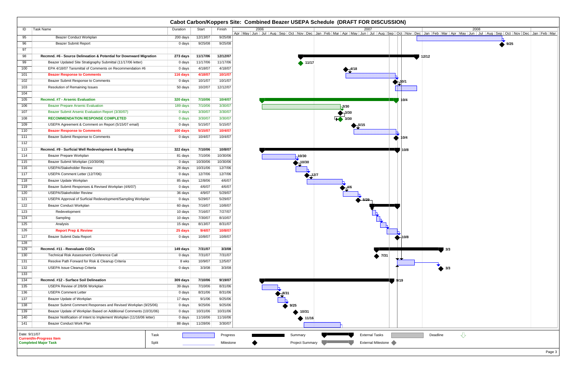|                  | Cabot Carbon/Koppers Site: Combined Beazer USEPA Schedule (DRAFT FOR DISCUSSION) |          |          |                       |                                                                                                                                                                                                                       |  |  |  |
|------------------|----------------------------------------------------------------------------------|----------|----------|-----------------------|-----------------------------------------------------------------------------------------------------------------------------------------------------------------------------------------------------------------------|--|--|--|
| ID               | <b>Task Name</b>                                                                 | Duration | Start    | Finish                | 2006<br>2008<br>2007                                                                                                                                                                                                  |  |  |  |
| 95               | <b>Beazer Conduct Workplan</b>                                                   | 200 days | 12/13/07 | 9/25/08               | Apr   May   Jun   Jul   Aug   Sep   Oct   Nov   Dec   Jan   Feb   Mar   Apr   May   Jun   Jul   Aug   Sep   Oct   Nov   Dec   Jan   Feb   Mar   Apr   May   Jun   Jul   Aug   Sep   Oct   Nov   Dec   Jan   Feb   Mar |  |  |  |
| 96               | <b>Beazer Submit Report</b>                                                      | 0 days   | 9/25/08  | 9/25/08               | 9/25                                                                                                                                                                                                                  |  |  |  |
| 97               |                                                                                  |          |          |                       |                                                                                                                                                                                                                       |  |  |  |
| 98               | Recmnd. #6 - Source Delineation & Potential for Downward Migration               | 273 days | 11/17/06 | 12/12/07              | 12/12                                                                                                                                                                                                                 |  |  |  |
| 99               | Beazer Updated Site Stratigraphy Submittal (11/17/06 letter)                     | 0 days   | 11/17/06 | 11/17/06              | $\blacktriangleright$ 11/17                                                                                                                                                                                           |  |  |  |
| 100              | EPA 4/18/07 Tansmittal of Comments on Recommendation #6                          | 0 days   | 4/18/07  | 4/18/07               | $\blacktriangledown^{4/18}$                                                                                                                                                                                           |  |  |  |
| 101              | <b>Beazer Response to Comments</b>                                               | 116 days | 4/18/07  | 10/1/07               |                                                                                                                                                                                                                       |  |  |  |
| 102              | Beazer Submit Response to Comments                                               | 0 days   | 10/1/07  | 10/1/07               |                                                                                                                                                                                                                       |  |  |  |
| 103              | Resolution of Remaining Issues                                                   | 50 days  | 10/2/07  | 12/12/07              |                                                                                                                                                                                                                       |  |  |  |
| 104              |                                                                                  |          |          |                       |                                                                                                                                                                                                                       |  |  |  |
| 105              | Recmnd. #7 - Arsenic Evaluation                                                  | 320 days | 7/10/06  | 10/4/07               | 10/4                                                                                                                                                                                                                  |  |  |  |
| 106              | <b>Beazer Prepare Arsenic Evaluation</b>                                         | 189 days | 7/10/06  | 3/30/07               | $-3/30$                                                                                                                                                                                                               |  |  |  |
| 107              | Beazer Submit Arsenic Evaluation Report (3/30/07)                                | 0 days   | 3/30/07  | 3/30/07               | $-3/30$                                                                                                                                                                                                               |  |  |  |
| 108              | <b>RECOMMENDATION RESPONSE COMPLETED</b>                                         | 0 days   | 3/30/07  | 3/30/07               | $\rightarrow$ 3/30                                                                                                                                                                                                    |  |  |  |
| 109              | USEPA Agreement & Comment on Report (5/15/07 email)                              | 0 days   | 5/15/07  | 5/15/07               |                                                                                                                                                                                                                       |  |  |  |
| 110              | <b>Beazer Response to Comments</b>                                               | 100 days | 5/15/07  | 10/4/07               |                                                                                                                                                                                                                       |  |  |  |
| 111              | Beazer Submit Response to Comments                                               | 0 days   | 10/4/07  | 10/4/07               | 10/4                                                                                                                                                                                                                  |  |  |  |
| 112              |                                                                                  |          |          |                       |                                                                                                                                                                                                                       |  |  |  |
| 113              | Recmnd. #9 - Surficial Well Redevelopment & Sampling                             | 322 days | 7/10/06  | 10/8/07               | 10/8                                                                                                                                                                                                                  |  |  |  |
| 114              | Beazer Prepare Workplan                                                          | 81 days  | 7/10/06  | 10/30/06              | 10/30                                                                                                                                                                                                                 |  |  |  |
| 115              | Beazer Submit Workplan (10/30/06)                                                | 0 days   | 10/30/06 | 10/30/06              | $-10/30$                                                                                                                                                                                                              |  |  |  |
| 116              | <b>USEPA/Stakeholder Review</b>                                                  | 28 days  | 10/31/06 | 12/7/06               |                                                                                                                                                                                                                       |  |  |  |
| 117              | USEPA Comment Letter (12/7/06)                                                   | 0 days   | 12/7/06  | 12/7/06               | $\frac{12}{7}$                                                                                                                                                                                                        |  |  |  |
| 118              | Beazer Update Workplan                                                           | 85 days  | 12/8/06  | 4/6/07                |                                                                                                                                                                                                                       |  |  |  |
| 119              | Beazer Submit Responses & Revised Workplan (4/6/07)                              | 0 days   | 4/6/07   | 4/6/07                |                                                                                                                                                                                                                       |  |  |  |
| 120              | <b>USEPA/Stakeholder Review</b>                                                  | 36 days  | 4/9/07   | 5/29/07               |                                                                                                                                                                                                                       |  |  |  |
| 121              | USEPA Approval of Surficial Redevelopment/Sampling Workplan                      | 0 days   | 5/29/07  | 5/29/07               |                                                                                                                                                                                                                       |  |  |  |
| 122              | Beazer Conduct Workplan                                                          | 60 days  | 7/16/07  | 10/8/07               |                                                                                                                                                                                                                       |  |  |  |
| 123              | Redevelopment                                                                    | 10 days  | 7/16/07  | 7/27/07               |                                                                                                                                                                                                                       |  |  |  |
| 124              | Sampling                                                                         | 10 days  | 7/30/07  | 8/10/07               |                                                                                                                                                                                                                       |  |  |  |
| 125              | Analysis                                                                         | 15 days  | 8/13/07  | 8/31/07               |                                                                                                                                                                                                                       |  |  |  |
| 126              | <b>Report Prep &amp; Review</b>                                                  | 25 days  | 9/4/07   | 10/8/07               |                                                                                                                                                                                                                       |  |  |  |
| 127<br>128       | Beazer Submit Data Report                                                        | 0 days   | 10/8/07  | 10/8/07               | ⊣10/8                                                                                                                                                                                                                 |  |  |  |
| 129              | Recmnd. #11 - Reevaluate COCs                                                    | 149 days | 7/31/07  | 3/3/08                |                                                                                                                                                                                                                       |  |  |  |
| 130              | Technical Risk Assessment Conference Call                                        | 0 days   | 7/31/07  | 7/31/07               | 3/3                                                                                                                                                                                                                   |  |  |  |
| 131              | Resolve Path Forward for Risk & Cleanup Criteria                                 | 8 wks    | 10/9/07  | 12/5/07               | $\bullet$ 7/31                                                                                                                                                                                                        |  |  |  |
| $\overline{132}$ | USEPA Issue Cleanup Criteria                                                     | 0 days   | 3/3/08   | 3/3/08                | $\bullet$ 3/3                                                                                                                                                                                                         |  |  |  |
| 133              |                                                                                  |          |          |                       |                                                                                                                                                                                                                       |  |  |  |
| 134              | Recmnd. #12 - Surface Soil Delineation                                           | 309 days | 7/10/06  | 9/19/07               | 9/19                                                                                                                                                                                                                  |  |  |  |
| $\overline{135}$ | USEPA Review of 2/8/06 Workplan                                                  | 39 days  | 7/10/06  | 8/31/06               |                                                                                                                                                                                                                       |  |  |  |
| 136              | <b>USEPA Comment Letter</b>                                                      | 0 days   | 8/31/06  | 8/31/06               |                                                                                                                                                                                                                       |  |  |  |
| 137              | Beazer Update of Workplan                                                        | 17 days  | 9/1/06   | 9/25/06               |                                                                                                                                                                                                                       |  |  |  |
| 138              | Beazer Submit Comment Responses and Revised Workplan (9/25/06)                   | 0 days   | 9/25/06  | 9/25/06               | 9/25                                                                                                                                                                                                                  |  |  |  |
| 139              | Beazer Update of Workplan Based on Additional Comments (10/31/06)                | 0 days   | 10/31/06 | 10/31/06              | 10/31                                                                                                                                                                                                                 |  |  |  |
| 140              | Beazer Notification of Intent to Implement Workplan (11/16/06 letter)            | 0 days   | 11/16/06 | 11/16/06              | ↑ 11/16                                                                                                                                                                                                               |  |  |  |
| 141              | Beazer Conduct Work Plan                                                         | 88 days  | 11/28/06 | 3/30/07               |                                                                                                                                                                                                                       |  |  |  |
| Date: 9/11/07    | Task<br><b>Current/In-Progress Item</b><br><b>Completed Major Task</b><br>Split  |          |          | Progress<br>Milestone | $\overline{\mathcal{L}}$<br><b>External Tasks</b><br>Deadline<br>Summary<br>External Milestone<br><b>Project Summary</b><br>Page 3                                                                                    |  |  |  |